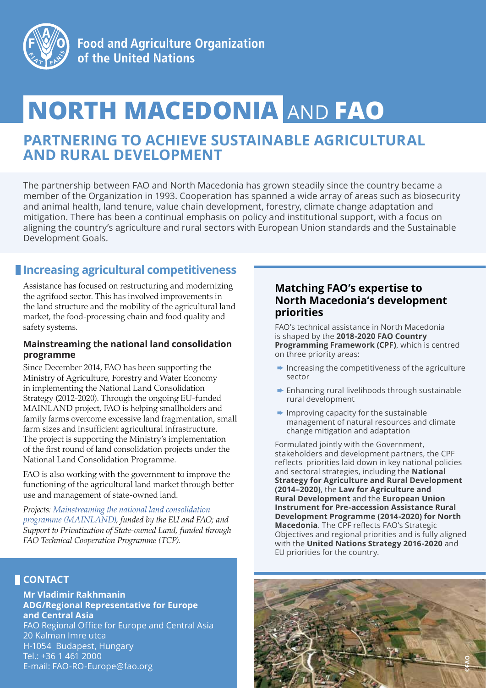

# **NORTH MACEDONIA** AND **FAO**

## **PARTNERING TO ACHIEVE SUSTAINABLE AGRICULTURAL AND RURAL DEVELOPMENT**

The partnership between FAO and North Macedonia has grown steadily since the country became a member of the Organization in 1993. Cooperation has spanned a wide array of areas such as biosecurity and animal health, land tenure, value chain development, forestry, climate change adaptation and mitigation. There has been a continual emphasis on policy and institutional support, with a focus on aligning the country's agriculture and rural sectors with European Union standards and the Sustainable Development Goals.

## **Increasing agricultural competitiveness**

Assistance has focused on restructuring and modernizing the agrifood sector. This has involved improvements in the land structure and the mobility of the agricultural land market, the food-processing chain and food quality and safety systems.

#### **Mainstreaming the national land consolidation programme**

Since December 2014, FAO has been supporting the Ministry of Agriculture, Forestry and Water Economy in implementing the National Land Consolidation Strategy (2012-2020). Through the ongoing EU-funded MAINLAND project, FAO is helping smallholders and family farms overcome excessive land fragmentation, small farm sizes and insufficient agricultural infrastructure. The project is supporting the Ministry's implementation of the first round of land consolidation projects under the National Land Consolidation Programme.

FAO is also working with the government to improve the functioning of the agricultural land market through better use and management of state-owned land.

*Projects: Mainstreaming the national land consolidation programme (MAINLAND), funded by the EU and FAO; and Support to Privatization of State-owned Land, funded through FAO Technical Cooperation Programme (TCP).*

## **CONTACT**

**Mr Vladimir Rakhmanin ADG/Regional Representative for Europe and Central Asia** FAO Regional Office for Europe and Central Asia 20 Kalman Imre utca H-1054 Budapest, Hungary Tel.: +36 1 461 2000 E-mail: FAO-RO-Europe@fao.org

## **Matching FAO's expertise to North Macedonia's development priorities**

FAO's technical assistance in North Macedonia is shaped by the **2018-2020 FAO Country Programming Framework (CPF)**, which is centred on three priority areas:

- $\rightarrow$  Increasing the competitiveness of the agriculture sector
- ➨ Enhancing rural livelihoods through sustainable rural development
- $\rightarrow$  Improving capacity for the sustainable management of natural resources and climate change mitigation and adaptation

Formulated jointly with the Government, stakeholders and development partners, the CPF reflects priorities laid down in key national policies and sectoral strategies, including the **National Strategy for Agriculture and Rural Development (2014–2020)**, the **Law for Agriculture and Rural Development** and the **European Union Instrument for Pre-accession Assistance Rural Development Programme (2014-2020) for North Macedonia**. The CPF reflects FAO's Strategic Objectives and regional priorities and is fully aligned with the **United Nations Strategy 2016-2020** and EU priorities for the country.